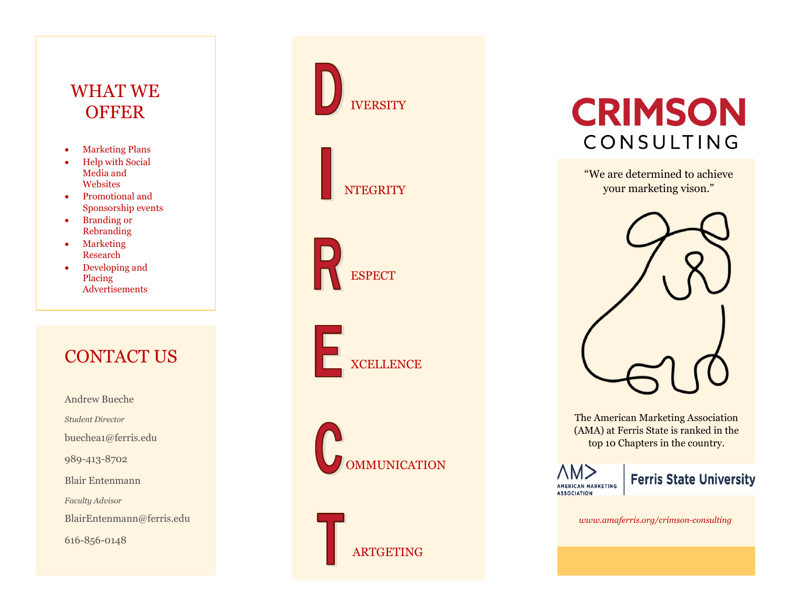# WHAT WE **OFFER**

- Marketing Plans
- Help with Social Media and **Websites**
- Promotional and Sponsorship events
- Branding or Rebranding
- Marketing Research
- Developing and Placing Advertisements

# CONTACT US

Andrew Bueche *Student Director* buechea1@ferris.edu 989-413-8702 Blair Entenmann *Faculty Advisor* BlairEntenmann@ferris.edu 616-856-0148



**NTEGRITY** 

**ESPECT** 

**XCELLENCE** 



ARTGETING



"We are determined to achieve your marketing vison."



The American Marketing Association (AMA) at Ferris State is ranked in the top 10 Chapters in the country.

AM> AMERICAN MARKETING **ASSOCIATION** 

### **Ferris State University**

*www.amaferris.org/crimson-consulting*